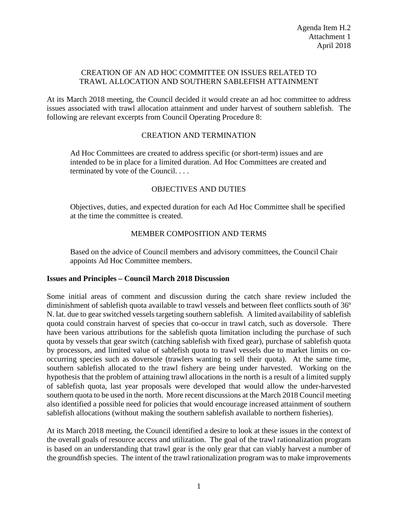### CREATION OF AN AD HOC COMMITTEE ON ISSUES RELATED TO TRAWL ALLOCATION AND SOUTHERN SABLEFISH ATTAINMENT

At its March 2018 meeting, the Council decided it would create an ad hoc committee to address issues associated with trawl allocation attainment and under harvest of southern sablefish. The following are relevant excerpts from Council Operating Procedure 8:

# CREATION AND TERMINATION

Ad Hoc Committees are created to address specific (or short-term) issues and are intended to be in place for a limited duration. Ad Hoc Committees are created and terminated by vote of the Council. . . .

# OBJECTIVES AND DUTIES

Objectives, duties, and expected duration for each Ad Hoc Committee shall be specified at the time the committee is created.

# MEMBER COMPOSITION AND TERMS

Based on the advice of Council members and advisory committees, the Council Chair appoints Ad Hoc Committee members.

#### **Issues and Principles – Council March 2018 Discussion**

Some initial areas of comment and discussion during the catch share review included the diminishment of sablefish quota available to trawl vessels and between fleet conflicts south of 36º N. lat. due to gear switched vessels targeting southern sablefish. A limited availability of sablefish quota could constrain harvest of species that co-occur in trawl catch, such as doversole. There have been various attributions for the sablefish quota limitation including the purchase of such quota by vessels that gear switch (catching sablefish with fixed gear), purchase of sablefish quota by processors, and limited value of sablefish quota to trawl vessels due to market limits on cooccurring species such as doversole (trawlers wanting to sell their quota). At the same time, southern sablefish allocated to the trawl fishery are being under harvested. Working on the hypothesis that the problem of attaining trawl allocations in the north is a result of a limited supply of sablefish quota, last year proposals were developed that would allow the under-harvested southern quota to be used in the north. More recent discussions at the March 2018 Council meeting also identified a possible need for policies that would encourage increased attainment of southern sablefish allocations (without making the southern sablefish available to northern fisheries).

At its March 2018 meeting, the Council identified a desire to look at these issues in the context of the overall goals of resource access and utilization. The goal of the trawl rationalization program is based on an understanding that trawl gear is the only gear that can viably harvest a number of the groundfish species. The intent of the trawl rationalization program was to make improvements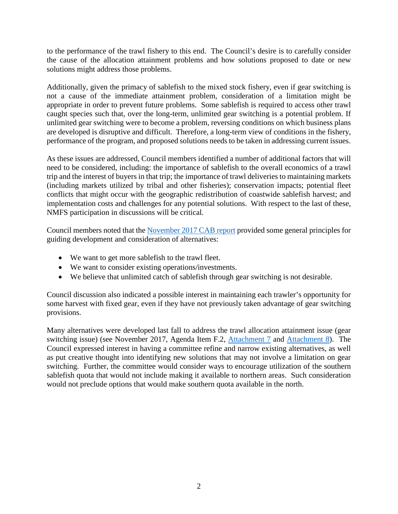to the performance of the trawl fishery to this end. The Council's desire is to carefully consider the cause of the allocation attainment problems and how solutions proposed to date or new solutions might address those problems.

Additionally, given the primacy of sablefish to the mixed stock fishery, even if gear switching is not a cause of the immediate attainment problem, consideration of a limitation might be appropriate in order to prevent future problems. Some sablefish is required to access other trawl caught species such that, over the long-term, unlimited gear switching is a potential problem. If unlimited gear switching were to become a problem, reversing conditions on which business plans are developed is disruptive and difficult. Therefore, a long-term view of conditions in the fishery, performance of the program, and proposed solutions needs to be taken in addressing current issues.

As these issues are addressed, Council members identified a number of additional factors that will need to be considered, including: the importance of sablefish to the overall economics of a trawl trip and the interest of buyers in that trip; the importance of trawl deliveries to maintaining markets (including markets utilized by tribal and other fisheries); conservation impacts; potential fleet conflicts that might occur with the geographic redistribution of coastwide sablefish harvest; and implementation costs and challenges for any potential solutions. With respect to the last of these, NMFS participation in discussions will be critical.

Council members noted that the [November 2017 CAB report](https://www.pcouncil.org/wp-content/uploads/2017/11/F2a_Sup_CAB_Rpt1_NOV2017BB.pdf) provided some general principles for guiding development and consideration of alternatives:

- We want to get more sablefish to the trawl fleet.
- We want to consider existing operations/investments.
- We believe that unlimited catch of sablefish through gear switching is not desirable.

Council discussion also indicated a possible interest in maintaining each trawler's opportunity for some harvest with fixed gear, even if they have not previously taken advantage of gear switching provisions.

Many alternatives were developed last fall to address the trawl allocation attainment issue (gear switching issue) (see November 2017, Agenda Item F.2, [Attachment 7](https://www.pcouncil.org/wp-content/uploads/2017/11/F2_Sup_Att7_SAMGS_Process_NOV2017BB.pdf) and [Attachment 8\)](https://www.pcouncil.org/wp-content/uploads/2017/11/F2_Sup_Att8_GearSwitching_Options_NOV2017BB.pdf). The Council expressed interest in having a committee refine and narrow existing alternatives, as well as put creative thought into identifying new solutions that may not involve a limitation on gear switching. Further, the committee would consider ways to encourage utilization of the southern sablefish quota that would not include making it available to northern areas. Such consideration would not preclude options that would make southern quota available in the north.